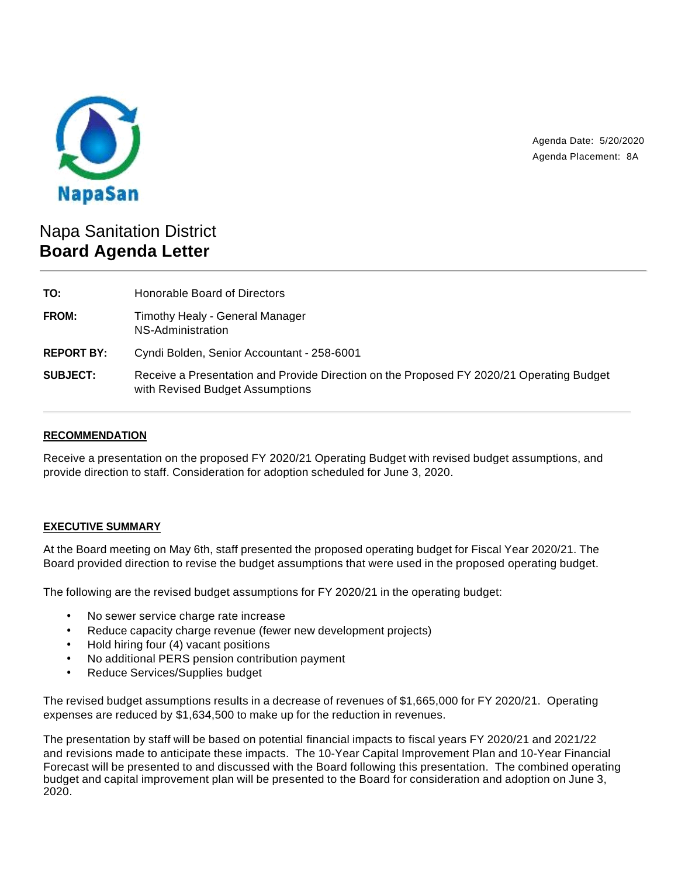

Agenda Date: 5/20/2020 Agenda Placement: 8A

# Napa Sanitation District **Board Agenda Letter**

| TO:               | Honorable Board of Directors                                                                                                |
|-------------------|-----------------------------------------------------------------------------------------------------------------------------|
| FROM:             | Timothy Healy - General Manager<br>NS-Administration                                                                        |
| <b>REPORT BY:</b> | Cyndi Bolden, Senior Accountant - 258-6001                                                                                  |
| <b>SUBJECT:</b>   | Receive a Presentation and Provide Direction on the Proposed FY 2020/21 Operating Budget<br>with Revised Budget Assumptions |

# **RECOMMENDATION**

Receive a presentation on the proposed FY 2020/21 Operating Budget with revised budget assumptions, and provide direction to staff. Consideration for adoption scheduled for June 3, 2020.

# **EXECUTIVE SUMMARY**

At the Board meeting on May 6th, staff presented the proposed operating budget for Fiscal Year 2020/21. The Board provided direction to revise the budget assumptions that were used in the proposed operating budget.

The following are the revised budget assumptions for FY 2020/21 in the operating budget:

- No sewer service charge rate increase
- Reduce capacity charge revenue (fewer new development projects)
- Hold hiring four (4) vacant positions
- No additional PERS pension contribution payment
- Reduce Services/Supplies budget

The revised budget assumptions results in a decrease of revenues of \$1,665,000 for FY 2020/21. Operating expenses are reduced by \$1,634,500 to make up for the reduction in revenues.

The presentation by staff will be based on potential financial impacts to fiscal years FY 2020/21 and 2021/22 and revisions made to anticipate these impacts. The 10-Year Capital Improvement Plan and 10-Year Financial Forecast will be presented to and discussed with the Board following this presentation. The combined operating budget and capital improvement plan will be presented to the Board for consideration and adoption on June 3, 2020.